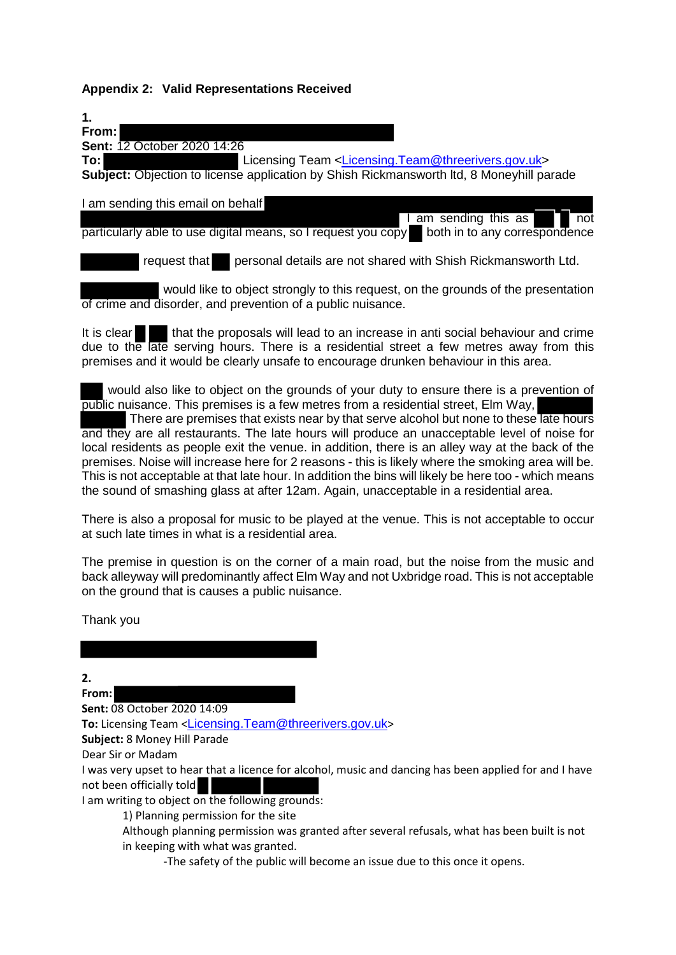# **Appendix 2: Valid Representations Received**

| 1.                                                                                              |
|-------------------------------------------------------------------------------------------------|
| From:                                                                                           |
| Sent: 12 October 2020 14:26                                                                     |
| To: l<br>Licensing Team <licensing.team@threerivers.gov.uk></licensing.team@threerivers.gov.uk> |
| Subject: Objection to license application by Shish Rickmansworth Itd, 8 Moneyhill parade        |
|                                                                                                 |
| I am sending this email on behalf                                                               |
| am sending this as<br>$\overline{\text{not}}$                                                   |
| both in to any correspondence<br>particularly able to use digital means, so I request you copy  |
|                                                                                                 |
| request that<br>personal details are not shared with Shish Rickmansworth Ltd.                   |
|                                                                                                 |

 would like to object strongly to this request, on the grounds of the presentation of crime and disorder, and prevention of a public nuisance.

It is clear that the proposals will lead to an increase in anti social behaviour and crime due to the late serving hours. There is a residential street a few metres away from this premises and it would be clearly unsafe to encourage drunken behaviour in this area.

 would also like to object on the grounds of your duty to ensure there is a prevention of public nuisance. This premises is a few metres from a residential street, Elm Way, There are premises that exists near by that serve alcohol but none to these late hours and they are all restaurants. The late hours will produce an unacceptable level of noise for local residents as people exit the venue. in addition, there is an alley way at the back of the premises. Noise will increase here for 2 reasons - this is likely where the smoking area will be. This is not acceptable at that late hour. In addition the bins will likely be here too - which means the sound of smashing glass at after 12am. Again, unacceptable in a residential area.

There is also a proposal for music to be played at the venue. This is not acceptable to occur at such late times in what is a residential area.

The premise in question is on the corner of a main road, but the noise from the music and back alleyway will predominantly affect Elm Way and not Uxbridge road. This is not acceptable on the ground that is causes a public nuisance.

Thank you

**2.** 

**From:**

**Sent:** 08 October 2020 14:09 **To:** Licensing Team <[Licensing.Team@threerivers.gov.uk](mailto:Licensing.Team@threerivers.gov.uk)>

**Subject:** 8 Money Hill Parade

Dear Sir or Madam

I was very upset to hear that a licence for alcohol, music and dancing has been applied for and I have not been officially told

I am writing to object on the following grounds:

1) Planning permission for the site

Although planning permission was granted after several refusals, what has been built is not in keeping with what was granted.

-The safety of the public will become an issue due to this once it opens.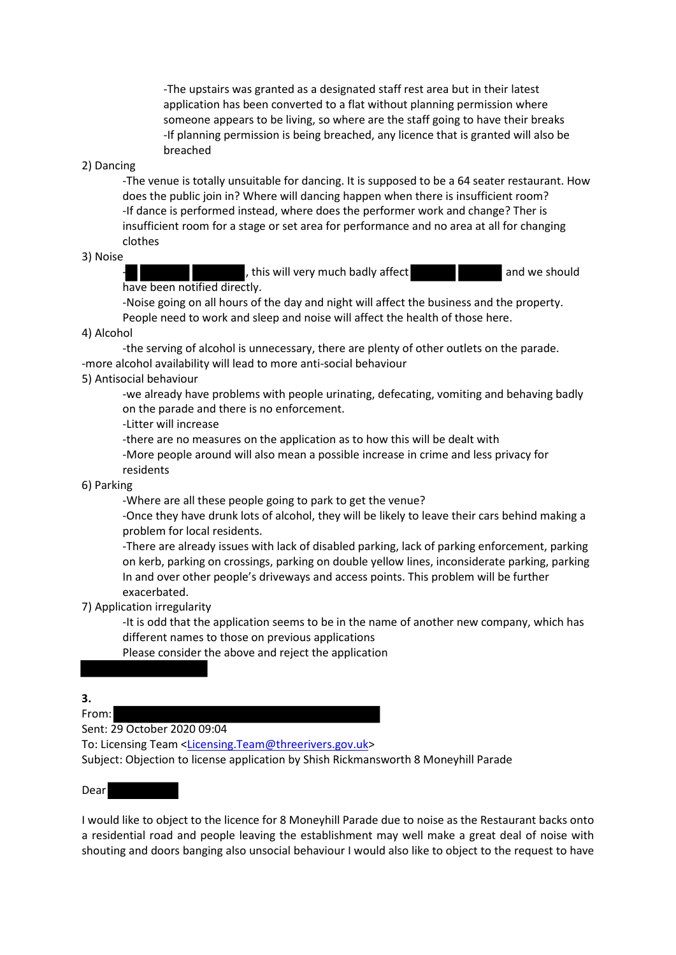-The upstairs was granted as a designated staff rest area but in their latest application has been converted to a flat without planning permission where someone appears to be living, so where are the staff going to have their breaks -If planning permission is being breached, any licence that is granted will also be breached

# 2) Dancing

 -The venue is totally unsuitable for dancing. It is supposed to be a 64 seater restaurant. How does the public join in? Where will dancing happen when there is insufficient room? -If dance is performed instead, where does the performer work and change? Ther is insufficient room for a stage or set area for performance and no area at all for changing clothes

# 3) Noise

, this will very much badly affect and we should

have been notified directly.

 -Noise going on all hours of the day and night will affect the business and the property. People need to work and sleep and noise will affect the health of those here.

### 4) Alcohol

 -the serving of alcohol is unnecessary, there are plenty of other outlets on the parade. -more alcohol availability will lead to more anti-social behaviour

### 5) Antisocial behaviour

 -we already have problems with people urinating, defecating, vomiting and behaving badly on the parade and there is no enforcement.

-Litter will increase

-there are no measures on the application as to how this will be dealt with

 -More people around will also mean a possible increase in crime and less privacy for residents

#### 6) Parking

-Where are all these people going to park to get the venue?

 -Once they have drunk lots of alcohol, they will be likely to leave their cars behind making a problem for local residents.

 -There are already issues with lack of disabled parking, lack of parking enforcement, parking on kerb, parking on crossings, parking on double yellow lines, inconsiderate parking, parking In and over other people's driveways and access points. This problem will be further exacerbated.

#### 7) Application irregularity

 -It is odd that the application seems to be in the name of another new company, which has different names to those on previous applications

Please consider the above and reject the application

**3.** 

From:

Sent: 29 October 2020 09:04

To: Licensing Team [<Licensing.Team@threerivers.gov.uk>](mailto:Licensing.Team@threerivers.gov.uk)

Subject: Objection to license application by Shish Rickmansworth 8 Moneyhill Parade

## Dear

I would like to object to the licence for 8 Moneyhill Parade due to noise as the Restaurant backs onto a residential road and people leaving the establishment may well make a great deal of noise with shouting and doors banging also unsocial behaviour I would also like to object to the request to have